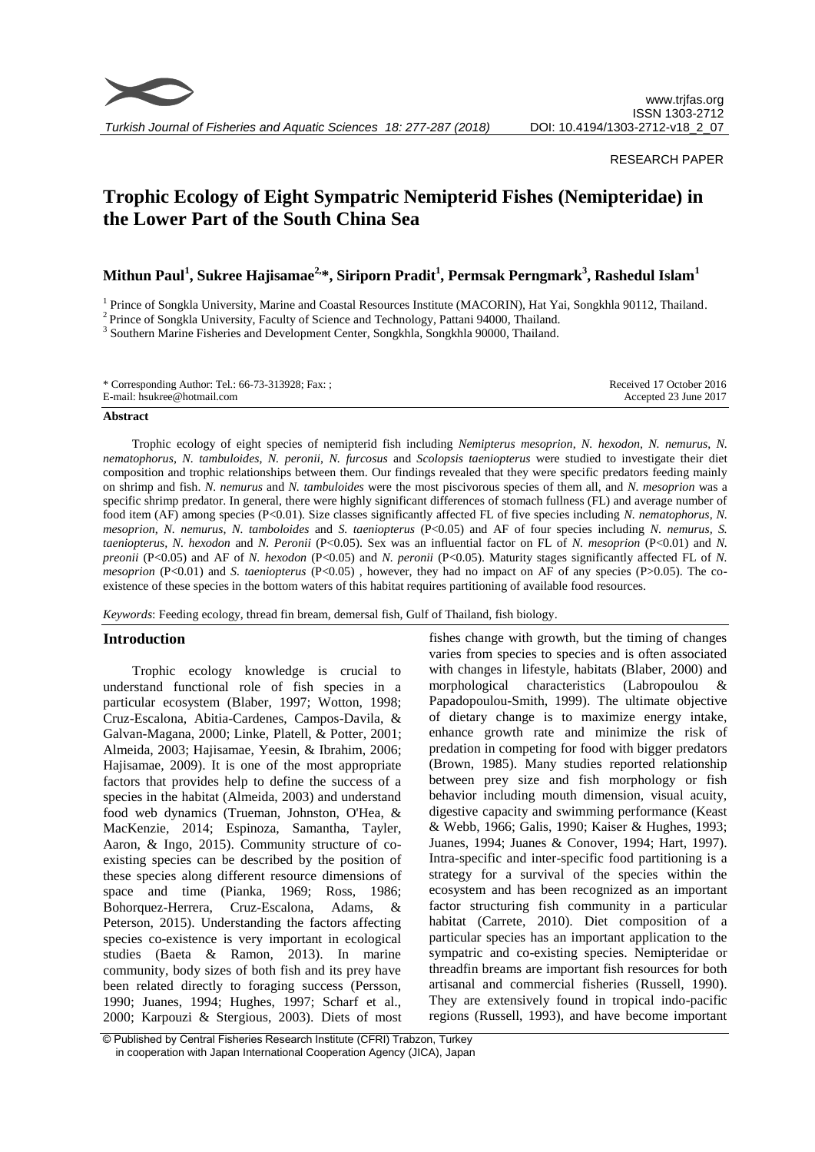

*Turkish Journal of Fisheries and Aquatic Sciences 18: 277-287 (2018)*

# RESEARCH PAPER

# **Trophic Ecology of Eight Sympatric Nemipterid Fishes (Nemipteridae) in the Lower Part of the South China Sea**

**Mithun Paul<sup>1</sup> , Sukree Hajisamae2,\*, Siriporn Pradit<sup>1</sup> , Permsak Perngmark<sup>3</sup> , Rashedul Islam<sup>1</sup>**

<sup>1</sup> Prince of Songkla University, Marine and Coastal Resources Institute (MACORIN), Hat Yai, Songkhla 90112, Thailand.

<sup>2</sup> Prince of Songkla University, Faculty of Science and Technology, Pattani 94000, Thailand.

<sup>3</sup> Southern Marine Fisheries and Development Center, Songkhla, Songkhla 90000, Thailand.

| * Corresponding Author: Tel.: 66-73-313928; Fax: ; | Received 17 October 2016 |
|----------------------------------------------------|--------------------------|
| E-mail: hsukree@hotmail.com                        | Accepted 23 June 2017    |
|                                                    |                          |

#### **Abstract**

Trophic ecology of eight species of nemipterid fish including *Nemipterus mesoprion*, *N. hexodon*, *N. nemurus*, *N. nematophorus*, *N. tambuloides*, *N. peronii*, *N. furcosus* and *Scolopsis taeniopterus* were studied to investigate their diet composition and trophic relationships between them. Our findings revealed that they were specific predators feeding mainly on shrimp and fish. *N. nemurus* and *N. tambuloides* were the most piscivorous species of them all, and *N. mesoprion* was a specific shrimp predator. In general, there were highly significant differences of stomach fullness (FL) and average number of food item (AF) among species (P<0.01). Size classes significantly affected FL of five species including *N. nematophorus*, *N. mesoprion*, *N. nemurus*, *N. tamboloides* and *S. taeniopterus* (P<0.05) and AF of four species including *N. nemurus, S. taeniopterus, N. hexodon* and *N. Peronii* (P<0.05). Sex was an influential factor on FL of *N. mesoprion* (P<0.01) and *N. preonii* (P<0.05) and AF of *N. hexodon* (P<0.05) and *N. peronii* (P<0.05). Maturity stages significantly affected FL of *N. mesoprion* (P<0.01) and *S. taeniopterus* (P<0.05), however, they had no impact on AF of any species (P>0.05). The coexistence of these species in the bottom waters of this habitat requires partitioning of available food resources.

*Keywords*: Feeding ecology, thread fin bream, demersal fish, Gulf of Thailand, fish biology.

# **Introduction**

Trophic ecology knowledge is crucial to understand functional role of fish species in a particular ecosystem (Blaber, 1997; Wotton, 1998; Cruz-Escalona, Abitia-Cardenes, Campos-Davila, & Galvan-Magana, 2000; Linke, Platell, & Potter, 2001; Almeida, 2003; Hajisamae, Yeesin, & Ibrahim, 2006; Hajisamae, 2009). It is one of the most appropriate factors that provides help to define the success of a species in the habitat (Almeida, 2003) and understand food web dynamics (Trueman, Johnston, O'Hea, & MacKenzie, 2014; Espinoza, Samantha, Tayler, Aaron, & Ingo, 2015). Community structure of coexisting species can be described by the position of these species along different resource dimensions of space and time (Pianka, 1969; Ross, 1986; Bohorquez-Herrera, Cruz-Escalona, Adams, & Peterson, 2015). Understanding the factors affecting species co-existence is very important in ecological studies (Baeta & Ramon, 2013). In marine community, body sizes of both fish and its prey have been related directly to foraging success (Persson, 1990; Juanes, 1994; Hughes, 1997; Scharf et al., 2000; Karpouzi & Stergious, 2003). Diets of most

fishes change with growth, but the timing of changes varies from species to species and is often associated with changes in lifestyle, habitats (Blaber, 2000) and morphological characteristics (Labropoulou & Papadopoulou-Smith, 1999). The ultimate objective of dietary change is to maximize energy intake, enhance growth rate and minimize the risk of predation in competing for food with bigger predators (Brown, 1985). Many studies reported relationship between prey size and fish morphology or fish behavior including mouth dimension, visual acuity, digestive capacity and swimming performance (Keast & Webb, 1966; Galis, 1990; Kaiser & Hughes, 1993; Juanes, 1994; Juanes & Conover, 1994; Hart, 1997). Intra-specific and inter-specific food partitioning is a strategy for a survival of the species within the ecosystem and has been recognized as an important factor structuring fish community in a particular habitat (Carrete, 2010). Diet composition of a particular species has an important application to the sympatric and co-existing species. Nemipteridae or threadfin breams are important fish resources for both artisanal and commercial fisheries (Russell, 1990). They are extensively found in tropical indo-pacific regions (Russell, 1993), and have become important

<sup>©</sup> Published by Central Fisheries Research Institute (CFRI) Trabzon, Turkey in cooperation with Japan International Cooperation Agency (JICA), Japan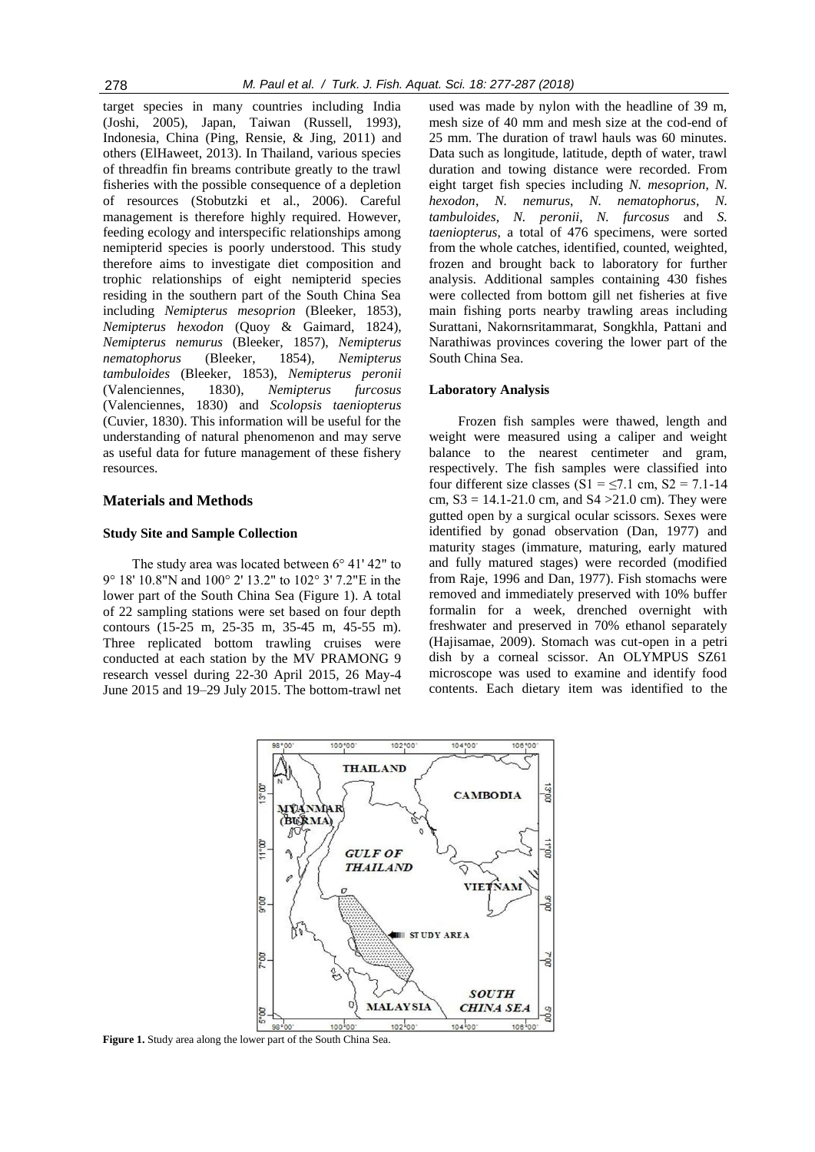target species in many countries including India (Joshi, 2005), Japan, Taiwan (Russell, 1993), Indonesia, China (Ping, Rensie, & Jing, 2011) and others (ElHaweet, 2013). In Thailand, various species of threadfin fin breams contribute greatly to the trawl fisheries with the possible consequence of a depletion of resources (Stobutzki et al., 2006). Careful management is therefore highly required. However, feeding ecology and interspecific relationships among nemipterid species is poorly understood. This study therefore aims to investigate diet composition and trophic relationships of eight nemipterid species residing in the southern part of the South China Sea including *Nemipterus mesoprion* (Bleeker, 1853), *Nemipterus hexodon* (Quoy & Gaimard, 1824), *Nemipterus nemurus* (Bleeker, 1857), *Nemipterus nematophorus* (Bleeker, 1854), *Nemipterus tambuloides* (Bleeker, 1853), *Nemipterus peronii* (Valenciennes, 1830), *Nemipterus furcosus* (Valenciennes, 1830) and *Scolopsis taeniopterus* (Cuvier, 1830). This information will be useful for the understanding of natural phenomenon and may serve as useful data for future management of these fishery resources.

# **Materials and Methods**

## **Study Site and Sample Collection**

The study area was located between 6° 41' 42" to 9° 18' 10.8"N and 100° 2' 13.2" to 102° 3' 7.2"E in the lower part of the South China Sea (Figure 1). A total of 22 sampling stations were set based on four depth contours (15-25 m, 25-35 m, 35-45 m, 45-55 m). Three replicated bottom trawling cruises were conducted at each station by the MV PRAMONG 9 research vessel during 22-30 April 2015, 26 May-4 June 2015 and 19–29 July 2015. The bottom-trawl net

used was made by nylon with the headline of 39 m, mesh size of 40 mm and mesh size at the cod-end of 25 mm. The duration of trawl hauls was 60 minutes. Data such as longitude, latitude, depth of water, trawl duration and towing distance were recorded. From eight target fish species including *N. mesoprion*, *N. hexodon*, *N. nemurus*, *N. nematophorus*, *N. tambuloides*, *N. peronii*, *N. furcosus* and *S. taeniopterus*, a total of 476 specimens, were sorted from the whole catches, identified, counted, weighted, frozen and brought back to laboratory for further analysis. Additional samples containing 430 fishes were collected from bottom gill net fisheries at five main fishing ports nearby trawling areas including Surattani, Nakornsritammarat, Songkhla, Pattani and Narathiwas provinces covering the lower part of the South China Sea.

#### **Laboratory Analysis**

Frozen fish samples were thawed, length and weight were measured using a caliper and weight balance to the nearest centimeter and gram, respectively. The fish samples were classified into four different size classes (S1 =  $\leq$ 7.1 cm, S2 = 7.1-14 cm,  $S3 = 14.1 - 21.0$  cm, and  $S4 > 21.0$  cm). They were gutted open by a surgical ocular scissors. Sexes were identified by gonad observation (Dan, 1977) and maturity stages (immature, maturing, early matured and fully matured stages) were recorded (modified from Raje, 1996 and Dan, 1977). Fish stomachs were removed and immediately preserved with 10% buffer formalin for a week, drenched overnight with freshwater and preserved in 70% ethanol separately (Hajisamae, 2009). Stomach was cut-open in a petri dish by a corneal scissor. An OLYMPUS SZ61 microscope was used to examine and identify food contents. Each dietary item was identified to the



**Figure 1.** Study area along the lower part of the South China Sea.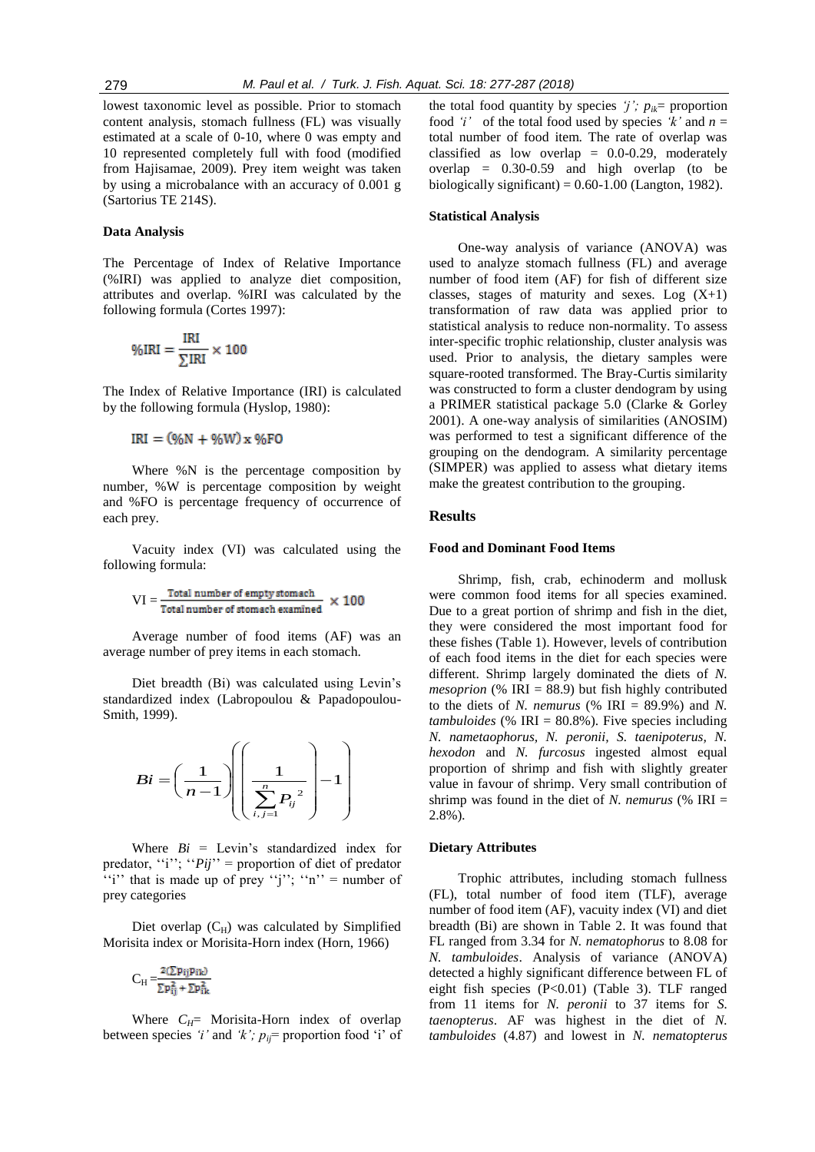lowest taxonomic level as possible. Prior to stomach content analysis, stomach fullness (FL) was visually estimated at a scale of 0-10, where 0 was empty and 10 represented completely full with food (modified from Hajisamae, 2009). Prey item weight was taken by using a microbalance with an accuracy of 0.001 g (Sartorius TE 214S).

## **Data Analysis**

The Percentage of Index of Relative Importance (%IRI) was applied to analyze diet composition, attributes and overlap. %IRI was calculated by the following formula (Cortes 1997):

$$
\%IRI = \frac{IRI}{\sum IRI} \times 100
$$

The Index of Relative Importance (IRI) is calculated by the following formula (Hyslop, 1980):

 $IRI = (%N + %W)x %F0$ 

Where %N is the percentage composition by number, %W is percentage composition by weight and %FO is percentage frequency of occurrence of each prey.

Vacuity index (VI) was calculated using the following formula:

$$
VI = \frac{\text{Total number of empty stomach}}{\text{Total number of stomach examined}} \times 100
$$

Average number of food items (AF) was an average number of prey items in each stomach.

Diet breadth (Bi) was calculated using Levin"s standardized index (Labropoulou & Papadopoulou-Smith, 1999).

$$
Bi = \left(\frac{1}{n-1}\right)\left(\left(\frac{1}{\sum_{i,j=1}^{n} P_{ij}^{2}}\right) - 1\right)
$$

Where  $Bi = \text{Levin's standardized index}$  for predator, "i"; " $Pij" =$  proportion of diet of predator "i" that is made up of prey "j"; "n" = number of prey categories

Diet overlap  $(C_H)$  was calculated by Simplified Morisita index or Morisita-Horn index (Horn, 1966)

$$
C_H\!=\!\!\frac{2(\Sigma p_{ij}p_{ik})}{\Sigma p_{ij}^2+\Sigma p_{ik}^2}
$$

Where  $C_H$ = Morisita-Horn index of overlap between species '*i*' and '*k*';  $p_{ij}$ = proportion food 'i' of the total food quantity by species *'j'*;  $p_{ik}$ = proportion food 'i' of the total food used by species 'k' and  $n =$ total number of food item. The rate of overlap was classified as low overlap  $= 0.0 - 0.29$ , moderately overlap = 0.30-0.59 and high overlap (to be biologically significant) =  $0.60$ -1.00 (Langton, 1982).

## **Statistical Analysis**

One-way analysis of variance (ANOVA) was used to analyze stomach fullness (FL) and average number of food item (AF) for fish of different size classes, stages of maturity and sexes. Log  $(X+1)$ transformation of raw data was applied prior to statistical analysis to reduce non-normality. To assess inter-specific trophic relationship, cluster analysis was used. Prior to analysis, the dietary samples were square-rooted transformed. The Bray-Curtis similarity was constructed to form a cluster dendogram by using a PRIMER statistical package 5.0 (Clarke & Gorley 2001). A one-way analysis of similarities (ANOSIM) was performed to test a significant difference of the grouping on the dendogram. A similarity percentage (SIMPER) was applied to assess what dietary items make the greatest contribution to the grouping.

## **Results**

#### **Food and Dominant Food Items**

Shrimp, fish, crab, echinoderm and mollusk were common food items for all species examined. Due to a great portion of shrimp and fish in the diet, they were considered the most important food for these fishes (Table 1). However, levels of contribution of each food items in the diet for each species were different. Shrimp largely dominated the diets of *N. mesoprion* (% IRI = 88.9) but fish highly contributed to the diets of *N. nemurus* (% IRI =  $89.9\%$ ) and *N. tambuloides* (% IRI = 80.8%). Five species including *N. nametaophorus, N. peronii, S. taenipoterus, N. hexodon* and *N. furcosus* ingested almost equal proportion of shrimp and fish with slightly greater value in favour of shrimp. Very small contribution of shrimp was found in the diet of *N. nemurus* (% IRI  $=$ 2.8%)*.* 

#### **Dietary Attributes**

Trophic attributes, including stomach fullness (FL), total number of food item (TLF), average number of food item (AF), vacuity index (VI) and diet breadth (Bi) are shown in Table 2. It was found that FL ranged from 3.34 for *N. nematophorus* to 8.08 for *N. tambuloides*. Analysis of variance (ANOVA) detected a highly significant difference between FL of eight fish species (P<0.01) (Table 3). TLF ranged from 11 items for *N. peronii* to 37 items for *S. taenopterus*. AF was highest in the diet of *N. tambuloides* (4.87) and lowest in *N. nematopterus*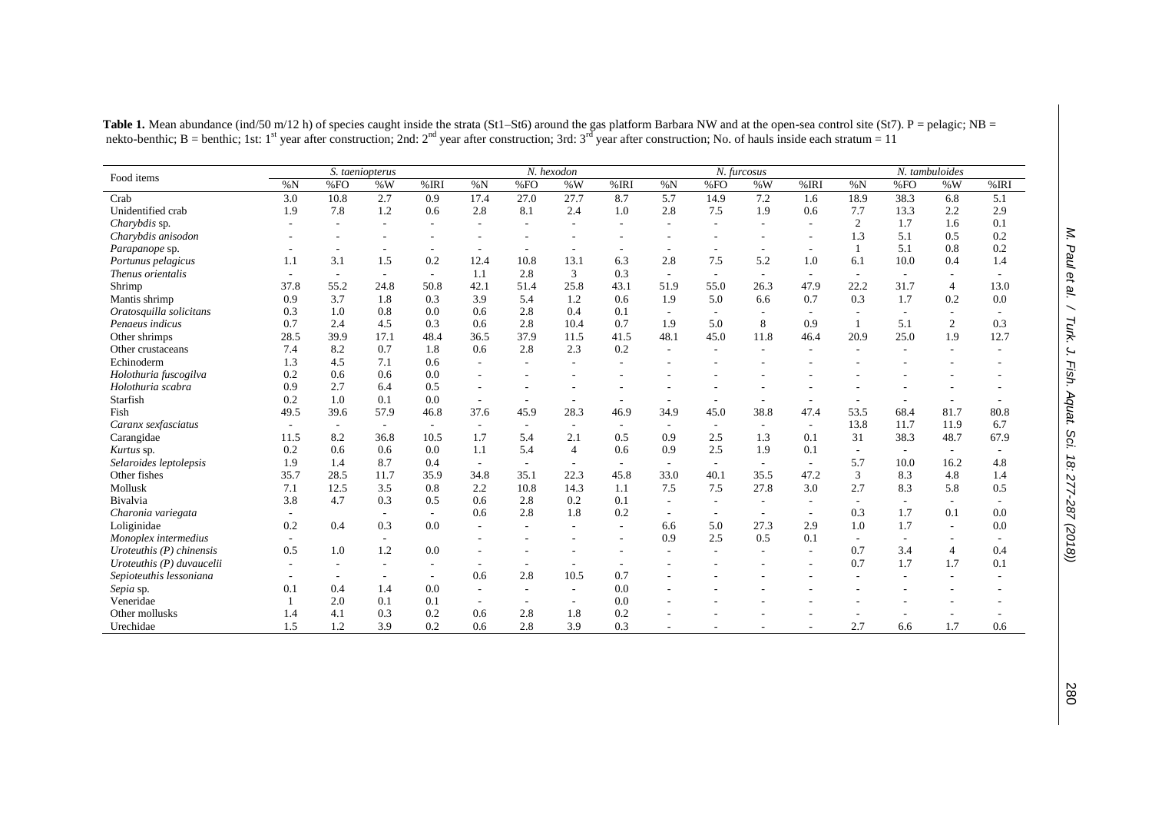|                            |                          | S. taeniopterus |                          |                          | N. hexodon               |                          |                          |                          | N. furcosus              |                          |                          |                          |                          | N. tambuloides           |                |      |  |  |
|----------------------------|--------------------------|-----------------|--------------------------|--------------------------|--------------------------|--------------------------|--------------------------|--------------------------|--------------------------|--------------------------|--------------------------|--------------------------|--------------------------|--------------------------|----------------|------|--|--|
| Food items                 | %N                       | %FO             | $\% W$                   | %IRI                     | %N                       | %FO                      | $\% W$                   | %IRI                     | %N                       | %FO                      | %W                       | %IRI                     | %N                       | %FO                      | % $W$          | %IRI |  |  |
| Crab                       | 3.0                      | 10.8            | 2.7                      | 0.9                      | 17.4                     | 27.0                     | 27.7                     | 8.7                      | 5.7                      | 14.9                     | 7.2                      | 1.6                      | 18.9                     | 38.3                     | 6.8            | 5.1  |  |  |
| Unidentified crab          | 1.9                      | 7.8             | 1.2                      | 0.6                      | 2.8                      | 8.1                      | 2.4                      | 1.0                      | 2.8                      | 7.5                      | 1.9                      | 0.6                      | 7.7                      | 13.3                     | 2.2            | 2.9  |  |  |
| Charybdis sp.              |                          |                 |                          |                          |                          |                          |                          |                          |                          |                          |                          |                          | 2                        | 1.7                      | 1.6            | 0.1  |  |  |
| Charybdis anisodon         |                          |                 |                          |                          |                          |                          |                          |                          |                          |                          |                          |                          | 1.3                      | 5.1                      | 0.5            | 0.2  |  |  |
| Parapanope sp.             |                          |                 |                          |                          |                          |                          |                          |                          |                          |                          |                          |                          |                          | 5.1                      | 0.8            | 0.2  |  |  |
| Portunus pelagicus         | 1.1                      | 3.1             | 1.5                      | 0.2                      | 12.4                     | 10.8                     | 13.1                     | 6.3                      | 2.8                      | 7.5                      | 5.2                      | 1.0                      | 6.1                      | 10.0                     | 0.4            | 1.4  |  |  |
| Thenus orientalis          | $\overline{\phantom{0}}$ | $\sim$          | $\sim$                   | $\overline{\phantom{a}}$ | 1.1                      | 2.8                      | 3                        | 0.3                      | $\overline{\phantom{a}}$ | $\overline{\phantom{a}}$ | $\overline{\phantom{a}}$ |                          | $\overline{a}$           | $\overline{\phantom{a}}$ |                |      |  |  |
| Shrimp                     | 37.8                     | 55.2            | 24.8                     | 50.8                     | 42.1                     | 51.4                     | 25.8                     | 43.1                     | 51.9                     | 55.0                     | 26.3                     | 47.9                     | 22.2                     | 31.7                     | $\overline{4}$ | 13.0 |  |  |
| Mantis shrimp              | 0.9                      | 3.7             | 1.8                      | 0.3                      | 3.9                      | 5.4                      | 1.2                      | 0.6                      | 1.9                      | 5.0                      | 6.6                      | 0.7                      | 0.3                      | 1.7                      | 0.2            | 0.0  |  |  |
| Oratosquilla solicitans    | 0.3                      | 1.0             | 0.8                      | 0.0                      | 0.6                      | 2.8                      | 0.4                      | 0.1                      | ٠                        |                          |                          |                          |                          |                          |                |      |  |  |
| Penaeus indicus            | 0.7                      | 2.4             | 4.5                      | 0.3                      | 0.6                      | 2.8                      | 10.4                     | 0.7                      | 1.9                      | 5.0                      | 8                        | 0.9                      | $\mathbf{1}$             | 5.1                      | $\mathfrak{2}$ | 0.3  |  |  |
| Other shrimps              | 28.5                     | 39.9            | 17.1                     | 48.4                     | 36.5                     | 37.9                     | 11.5                     | 41.5                     | 48.1                     | 45.0                     | 11.8                     | 46.4                     | 20.9                     | 25.0                     | 1.9            | 12.7 |  |  |
| Other crustaceans          | 7.4                      | 8.2             | 0.7                      | 1.8                      | 0.6                      | 2.8                      | 2.3                      | 0.2                      |                          |                          |                          |                          |                          |                          |                |      |  |  |
| Echinoderm                 | 1.3                      | 4.5             | 7.1                      | 0.6                      |                          |                          |                          |                          |                          |                          |                          |                          |                          |                          |                |      |  |  |
| Holothuria fuscogilva      | 0.2                      | 0.6             | 0.6                      | 0.0                      |                          |                          |                          |                          |                          |                          |                          |                          |                          |                          |                |      |  |  |
| Holothuria scabra          | 0.9                      | 2.7             | 6.4                      | 0.5                      |                          |                          |                          |                          |                          |                          |                          |                          |                          |                          |                |      |  |  |
| Starfish                   | 0.2                      | 1.0             | 0.1                      | 0.0                      |                          | ٠                        | $\overline{\phantom{a}}$ |                          |                          |                          |                          |                          |                          |                          |                |      |  |  |
| Fish                       | 49.5                     | 39.6            | 57.9                     | 46.8                     | 37.6                     | 45.9                     | 28.3                     | 46.9                     | 34.9                     | 45.0                     | 38.8                     | 47.4                     | 53.5                     | 68.4                     | 81.7           | 80.8 |  |  |
| Caranx sexfasciatus        | $\overline{\phantom{0}}$ |                 | $\overline{\phantom{a}}$ | $\sim$                   | $\overline{\phantom{a}}$ | $\sim$                   | $\sim$                   | $\overline{\phantom{a}}$ | $\overline{\phantom{a}}$ |                          | $\overline{\phantom{a}}$ | $\sim$                   | 13.8                     | 11.7                     | 11.9           | 6.7  |  |  |
| Carangidae                 | 11.5                     | 8.2             | 36.8                     | 10.5                     | 1.7                      | 5.4                      | 2.1                      | 0.5                      | 0.9                      | 2.5                      | 1.3                      | 0.1                      | 31                       | 38.3                     | 48.7           | 67.9 |  |  |
| Kurtus sp.                 | 0.2                      | 0.6             | 0.6                      | 0.0                      | 1.1                      | 5.4                      | $\overline{4}$           | 0.6                      | 0.9                      | 2.5                      | 1.9                      | 0.1                      |                          |                          |                |      |  |  |
| Selaroides leptolepsis     | 1.9                      | 1.4             | 8.7                      | 0.4                      | $\sim$                   | $\overline{\phantom{a}}$ | $\overline{\phantom{a}}$ | $\overline{\phantom{a}}$ | ٠                        |                          | $\overline{\phantom{a}}$ | $\overline{\phantom{a}}$ | 5.7                      | 10.0                     | 16.2           | 4.8  |  |  |
| Other fishes               | 35.7                     | 28.5            | 11.7                     | 35.9                     | 34.8                     | 35.1                     | 22.3                     | 45.8                     | 33.0                     | 40.1                     | 35.5                     | 47.2                     | 3                        | 8.3                      | 4.8            | 1.4  |  |  |
| Mollusk                    | 7.1                      | 12.5            | 3.5                      | 0.8                      | 2.2                      | 10.8                     | 14.3                     | 1.1                      | 7.5                      | 7.5                      | 27.8                     | 3.0                      | 2.7                      | 8.3                      | 5.8            | 0.5  |  |  |
| Bivalvia                   | 3.8                      | 4.7             | 0.3                      | 0.5                      | 0.6                      | 2.8                      | 0.2                      | 0.1                      |                          |                          |                          |                          |                          |                          |                |      |  |  |
| Charonia variegata         |                          |                 | $\overline{\phantom{a}}$ | $\sim$                   | 0.6                      | 2.8                      | 1.8                      | 0.2                      | $\overline{\phantom{a}}$ |                          |                          |                          | 0.3                      | 1.7                      | 0.1            | 0.0  |  |  |
| Loliginidae                | 0.2                      | 0.4             | 0.3                      | 0.0                      |                          |                          |                          |                          | 6.6                      | 5.0                      | 27.3                     | 2.9                      | 1.0                      | 1.7                      |                | 0.0  |  |  |
| Monoplex intermedius       |                          |                 |                          |                          |                          |                          |                          |                          | 0.9                      | 2.5                      | 0.5                      | 0.1                      | $\overline{\phantom{a}}$ |                          |                |      |  |  |
| Uroteuthis $(P)$ chinensis | 0.5                      | 1.0             | 1.2                      | 0.0                      |                          |                          |                          |                          |                          |                          |                          |                          | 0.7                      | 3.4                      | $\overline{4}$ | 0.4  |  |  |
| Uroteuthis (P) duvaucelii  |                          |                 |                          |                          |                          |                          | $\overline{\phantom{a}}$ |                          |                          |                          |                          |                          | 0.7                      | 1.7                      | 1.7            | 0.1  |  |  |
| Sepioteuthis lessoniana    |                          |                 |                          | $\sim$                   | 0.6                      | 2.8                      | 10.5                     | 0.7                      |                          |                          |                          |                          |                          |                          |                |      |  |  |
| Sepia sp.                  | 0.1                      | 0.4             | 1.4                      | 0.0                      |                          |                          | $\overline{\phantom{a}}$ | 0.0                      |                          |                          |                          |                          |                          |                          |                |      |  |  |
| Veneridae                  |                          | 2.0             | 0.1                      | 0.1                      | $\overline{\phantom{a}}$ | $\overline{\phantom{a}}$ | $\overline{\phantom{a}}$ | 0.0                      |                          |                          |                          |                          |                          |                          |                |      |  |  |
| Other mollusks             | 1.4                      | 4.1             | 0.3                      | 0.2                      | 0.6                      | 2.8                      | 1.8                      | 0.2                      |                          |                          |                          |                          |                          |                          |                |      |  |  |
| Urechidae                  | 1.5                      | 1.2             | 3.9                      | 0.2                      | 0.6                      | 2.8                      | 3.9                      | 0.3                      |                          |                          |                          |                          | 2.7                      | 6.6                      | 1.7            | 0.6  |  |  |

Table 1. Mean abundance (ind/50 m/12 h) of species caught inside the strata (St1–St6) around the gas platform Barbara NW and at the open-sea control site (St7). P = pelagic; NB = nekto-benthic; B = benthic; 1st: 1<sup>st</sup> year after construction; 2nd: 2<sup>nd</sup> year after construction; 3rd: 3<sup>rd</sup> year after construction; No. of hauls inside each stratum = 11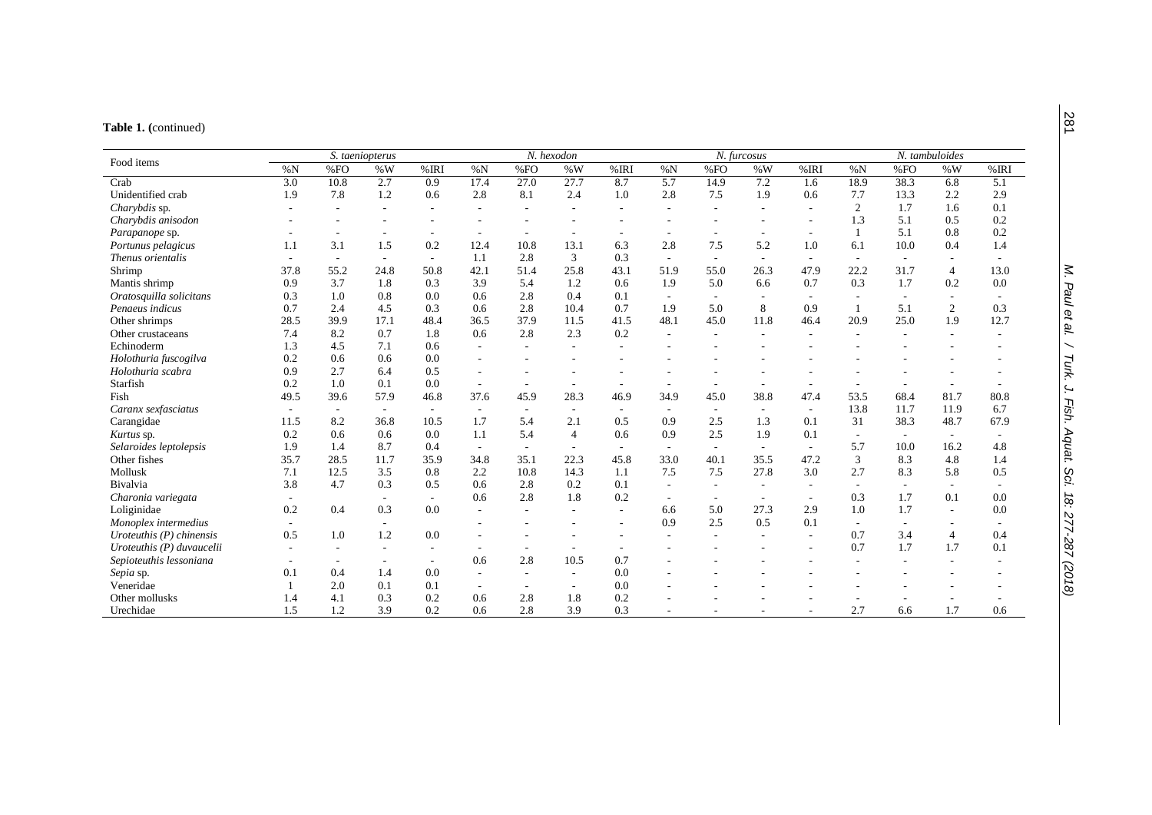#### **Table 1. (**continued)

|                            |                          | S. taeniopterus          |                          |                          |                          |                          | N. hexodon               |                          |                          |                          | N. furcosus              |                          | N. tambuloides           |                          |                          |      |  |
|----------------------------|--------------------------|--------------------------|--------------------------|--------------------------|--------------------------|--------------------------|--------------------------|--------------------------|--------------------------|--------------------------|--------------------------|--------------------------|--------------------------|--------------------------|--------------------------|------|--|
| Food items                 | %N                       | %FO                      | $\%$ W                   | %IRI                     | %N                       | %FO                      | %W                       | %IRI                     | %N                       | %FO                      | %W                       | %IRI                     | %N                       | %FO                      | $\% W$                   | %IRI |  |
| Crab                       | 3.0                      | 10.8                     | 2.7                      | 0.9                      | 17.4                     | 27.0                     | 27.7                     | 8.7                      | 5.7                      | 14.9                     | 7.2                      | 1.6                      | 18.9                     | 38.3                     | 6.8                      | 5.1  |  |
| Unidentified crab          | 1.9                      | 7.8                      | 1.2                      | 0.6                      | 2.8                      | 8.1                      | 2.4                      | 1.0                      | 2.8                      | 7.5                      | 1.9                      | 0.6                      | 7.7                      | 13.3                     | 2.2                      | 2.9  |  |
| Charybdis sp.              |                          |                          |                          |                          |                          |                          | ٠                        |                          |                          |                          |                          |                          | 2                        | 1.7                      | 1.6                      | 0.1  |  |
| Charybdis anisodon         |                          |                          |                          |                          |                          |                          |                          |                          |                          |                          |                          |                          | 1.3                      | 5.1                      | 0.5                      | 0.2  |  |
| Parapanope sp.             |                          |                          |                          |                          | $\overline{\phantom{a}}$ | $\overline{\phantom{a}}$ | $\overline{\phantom{a}}$ | $\overline{\phantom{a}}$ |                          |                          |                          |                          | $\mathbf{1}$             | 5.1                      | 0.8                      | 0.2  |  |
| Portunus pelagicus         | 1.1                      | 3.1                      | 1.5                      | 0.2                      | 12.4                     | 10.8                     | 13.1                     | 6.3                      | 2.8                      | 7.5                      | 5.2                      | 1.0                      | 6.1                      | 10.0                     | 0.4                      | 1.4  |  |
| Thenus orientalis          | $\overline{\phantom{a}}$ | $\overline{\phantom{a}}$ | $\sim$                   | $\sim$                   | 1.1                      | 2.8                      | 3                        | 0.3                      | $\overline{\phantom{a}}$ | $\overline{\phantom{a}}$ | $\sim$                   | $\overline{\phantom{a}}$ | $\overline{\phantom{a}}$ | $\overline{\phantom{a}}$ |                          |      |  |
| Shrimp                     | 37.8                     | 55.2                     | 24.8                     | 50.8                     | 42.1                     | 51.4                     | 25.8                     | 43.1                     | 51.9                     | 55.0                     | 26.3                     | 47.9                     | 22.2                     | 31.7                     | $\overline{4}$           | 13.0 |  |
| Mantis shrimp              | 0.9                      | 3.7                      | 1.8                      | 0.3                      | 3.9                      | 5.4                      | 1.2                      | 0.6                      | 1.9                      | 5.0                      | 6.6                      | 0.7                      | 0.3                      | 1.7                      | 0.2                      | 0.0  |  |
| Oratosquilla solicitans    | 0.3                      | 1.0                      | 0.8                      | 0.0                      | 0.6                      | 2.8                      | 0.4                      | 0.1                      |                          |                          |                          |                          |                          |                          |                          |      |  |
| Penaeus indicus            | 0.7                      | 2.4                      | 4.5                      | 0.3                      | 0.6                      | 2.8                      | 10.4                     | 0.7                      | 1.9                      | 5.0                      | 8                        | 0.9                      |                          | 5.1                      | $\mathfrak{2}$           | 0.3  |  |
| Other shrimps              | 28.5                     | 39.9                     | 17.1                     | 48.4                     | 36.5                     | 37.9                     | 11.5                     | 41.5                     | 48.1                     | 45.0                     | 11.8                     | 46.4                     | 20.9                     | 25.0                     | 1.9                      | 12.7 |  |
| Other crustaceans          | 7.4                      | 8.2                      | 0.7                      | 1.8                      | 0.6                      | 2.8                      | 2.3                      | 0.2                      |                          |                          |                          |                          |                          |                          |                          |      |  |
| Echinoderm                 | 1.3                      | 4.5                      | 7.1                      | 0.6                      | $\overline{\phantom{a}}$ | $\overline{\phantom{a}}$ | ٠                        |                          |                          |                          |                          |                          |                          |                          |                          |      |  |
| Holothuria fuscogilva      | 0.2                      | 0.6                      | 0.6                      | 0.0                      |                          |                          |                          |                          |                          |                          |                          |                          |                          |                          |                          |      |  |
| Holothuria scabra          | 0.9                      | 2.7                      | 6.4                      | 0.5                      | $\overline{a}$           |                          |                          |                          |                          |                          |                          |                          |                          |                          |                          |      |  |
| Starfish                   | 0.2                      | 1.0                      | 0.1                      | 0.0                      | $\overline{a}$           | $\overline{\phantom{a}}$ | ٠                        | $\overline{\phantom{a}}$ |                          |                          |                          |                          |                          |                          |                          |      |  |
| Fish                       | 49.5                     | 39.6                     | 57.9                     | 46.8                     | 37.6                     | 45.9                     | 28.3                     | 46.9                     | 34.9                     | 45.0                     | 38.8                     | 47.4                     | 53.5                     | 68.4                     | 81.7                     | 80.8 |  |
| Caranx sexfasciatus        |                          | $\overline{\phantom{a}}$ | $\sim$                   | $\overline{\phantom{a}}$ | $\overline{\phantom{a}}$ | $\overline{\phantom{a}}$ | $\overline{\phantom{a}}$ | $\overline{\phantom{a}}$ | $\overline{\phantom{a}}$ | $\overline{\phantom{a}}$ | $\overline{\phantom{a}}$ | $\overline{\phantom{a}}$ | 13.8                     | 11.7                     | 11.9                     | 6.7  |  |
| Carangidae                 | 11.5                     | 8.2                      | 36.8                     | 10.5                     | 1.7                      | 5.4                      | 2.1                      | 0.5                      | 0.9                      | 2.5                      | 1.3                      | 0.1                      | 31                       | 38.3                     | 48.7                     | 67.9 |  |
| Kurtus sp.                 | 0.2                      | 0.6                      | 0.6                      | 0.0                      | 1.1                      | 5.4                      | $\overline{4}$           | 0.6                      | 0.9                      | 2.5                      | 1.9                      | 0.1                      | $\sim$                   |                          |                          |      |  |
| Selaroides leptolepsis     | 1.9                      | 1.4                      | 8.7                      | 0.4                      | $\overline{\phantom{a}}$ | $\sim$                   | $\sim$                   | $\sim$                   | $\overline{\phantom{a}}$ | $\overline{\phantom{a}}$ |                          |                          | 5.7                      | 10.0                     | 16.2                     | 4.8  |  |
| Other fishes               | 35.7                     | 28.5                     | 11.7                     | 35.9                     | 34.8                     | 35.1                     | 22.3                     | 45.8                     | 33.0                     | 40.1                     | 35.5                     | 47.2                     | 3                        | 8.3                      | 4.8                      | 1.4  |  |
| Mollusk                    | 7.1                      | 12.5                     | 3.5                      | 0.8                      | 2.2                      | 10.8                     | 14.3                     | 1.1                      | 7.5                      | 7.5                      | 27.8                     | 3.0                      | 2.7                      | 8.3                      | 5.8                      | 0.5  |  |
| Bivalvia                   | 3.8                      | 4.7                      | 0.3                      | 0.5                      | 0.6                      | 2.8                      | 0.2                      | 0.1                      | $\sim$                   |                          | $\sim$                   | $\overline{\phantom{a}}$ | $\sim$                   |                          | $\overline{\phantom{a}}$ |      |  |
| Charonia variegata         |                          |                          | $\overline{\phantom{a}}$ |                          | 0.6                      | 2.8                      | 1.8                      | 0.2                      | $\overline{\phantom{a}}$ |                          |                          |                          | 0.3                      | 1.7                      | 0.1                      | 0.0  |  |
| Loliginidae                | 0.2                      | 0.4                      | 0.3                      | 0.0                      |                          |                          |                          |                          | 6.6                      | 5.0                      | 27.3                     | 2.9                      | 1.0                      | 1.7                      | $\overline{\phantom{a}}$ | 0.0  |  |
| Monoplex intermedius       |                          |                          | $\overline{\phantom{a}}$ |                          |                          |                          |                          |                          | 0.9                      | 2.5                      | 0.5                      | 0.1                      | $\sim$                   |                          |                          |      |  |
| Uroteuthis $(P)$ chinensis | 0.5                      | 1.0                      | 1.2                      | 0.0                      |                          |                          |                          |                          |                          |                          |                          |                          | 0.7                      | 3.4                      | $\overline{4}$           | 0.4  |  |
| Uroteuthis (P) duvaucelii  |                          |                          |                          |                          |                          | $\overline{\phantom{a}}$ | ٠                        | $\overline{\phantom{a}}$ |                          |                          |                          |                          | 0.7                      | 1.7                      | 1.7                      | 0.1  |  |
| Sepioteuthis lessoniana    |                          |                          | $\sim$                   |                          | 0.6                      | 2.8                      | 10.5                     | 0.7                      |                          |                          |                          |                          |                          |                          |                          |      |  |
| Sepia sp.                  | 0.1                      | 0.4                      | 1.4                      | 0.0                      | $\overline{\phantom{a}}$ | $\overline{\phantom{a}}$ | $\overline{\phantom{a}}$ | 0.0                      |                          |                          |                          |                          |                          |                          |                          |      |  |
| Veneridae                  |                          | 2.0                      | 0.1                      | 0.1                      | $\overline{\phantom{a}}$ | $\overline{\phantom{a}}$ | $\sim$                   | 0.0                      |                          |                          |                          |                          |                          |                          |                          |      |  |
| Other mollusks             | 1.4                      | 4.1                      | 0.3                      | 0.2                      | 0.6                      | 2.8                      | 1.8                      | 0.2                      |                          |                          |                          |                          |                          |                          |                          |      |  |
| Urechidae                  | 1.5                      | 1.2                      | 3.9                      | 0.2                      | 0.6                      | 2.8                      | 3.9                      | 0.3                      |                          |                          |                          |                          | 2.7                      | 6.6                      | 1.7                      | 0.6  |  |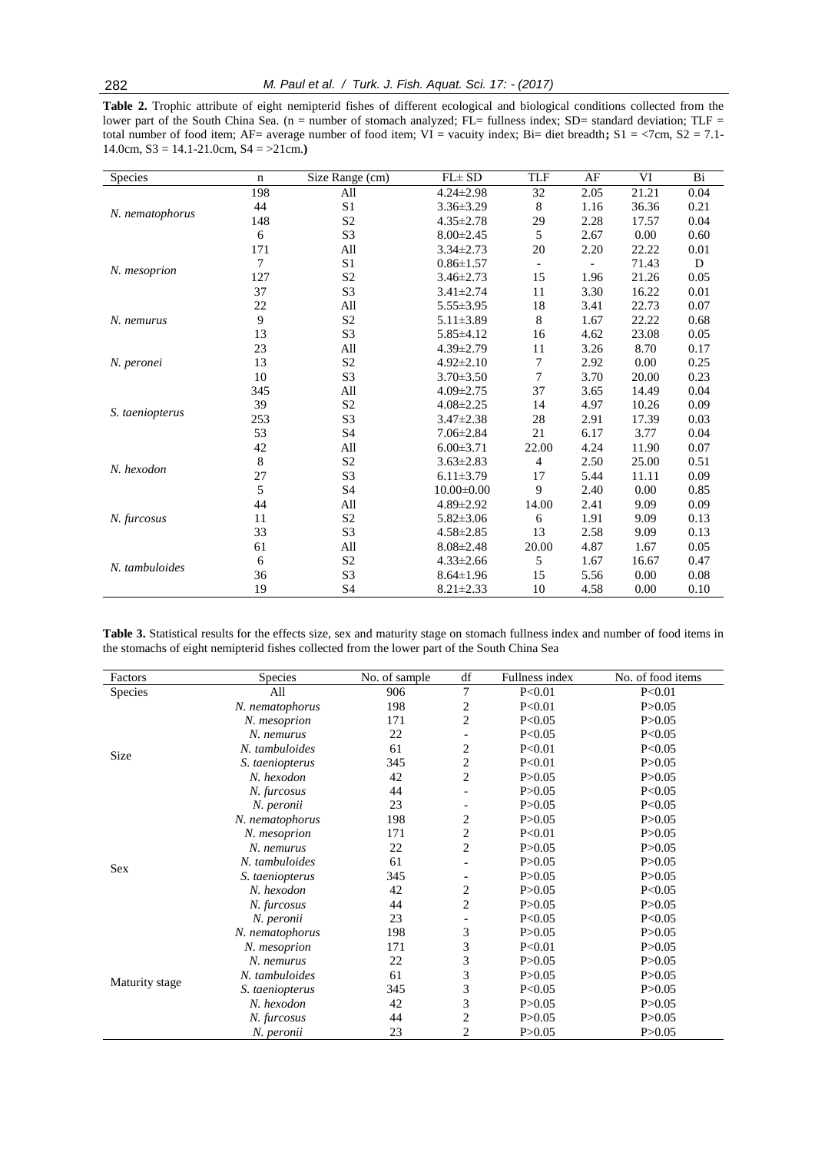**Table 2.** Trophic attribute of eight nemipterid fishes of different ecological and biological conditions collected from the lower part of the South China Sea. (n = number of stomach analyzed; FL= fullness index; SD= standard deviation; TLF = total number of food item; AF= average number of food item; VI = vacuity index; Bi= diet breadth**;** S1 = <7cm, S2 = 7.1- 14.0cm, S3 = 14.1-21.0cm, S4 = >21cm.**)**

| Species         | $\mathbf n$                 | Size Range (cm) | $FL \pm SD$      | TLF                      | AF   | VI       | Bi   |
|-----------------|-----------------------------|-----------------|------------------|--------------------------|------|----------|------|
|                 | 198                         | All             | $4.24 \pm 2.98$  | 32                       | 2.05 | 21.21    | 0.04 |
|                 | 44                          | S <sub>1</sub>  | $3.36 \pm 3.29$  | 8                        | 1.16 | 36.36    | 0.21 |
| N. nematophorus | 148                         | S <sub>2</sub>  | $4.35 \pm 2.78$  | 29                       | 2.28 | 17.57    | 0.04 |
|                 | 6                           | S <sub>3</sub>  | $8.00 \pm 2.45$  | 5                        | 2.67 | 0.00     | 0.60 |
|                 | 171                         | All             | $3.34 \pm 2.73$  | 20                       | 2.20 | 22.22    | 0.01 |
|                 | 7                           | S1              | $0.86 \pm 1.57$  | $\overline{\phantom{0}}$ |      | 71.43    | D    |
| N. mesoprion    | 127                         | S <sub>2</sub>  | $3.46 \pm 2.73$  | 15                       | 1.96 | 21.26    | 0.05 |
|                 | 37                          | S <sub>3</sub>  | $3.41 \pm 2.74$  | 11                       | 3.30 | 16.22    | 0.01 |
|                 | 22                          | All             | $5.55 \pm 3.95$  | 18                       | 3.41 | 22.73    | 0.07 |
| N. nemurus      | 9                           | $\mathbf{S}2$   | $5.11 \pm 3.89$  | 8                        | 1.67 | 22.22    | 0.68 |
|                 | 13                          | S3              | $5.85\pm4.12$    | 16                       | 4.62 | 23.08    | 0.05 |
| N. peronei      | 23                          | All             | $4.39 \pm 2.79$  | 11                       | 3.26 | 8.70     | 0.17 |
|                 | 13                          | S <sub>2</sub>  | $4.92 \pm 2.10$  | 7                        | 2.92 | 0.00     | 0.25 |
|                 | 10                          | S <sub>3</sub>  | $3.70 \pm 3.50$  | 7                        | 3.70 | 20.00    | 0.23 |
|                 | 345                         | All             | $4.09 \pm 2.75$  | 37                       | 3.65 | 14.49    | 0.04 |
|                 | 39                          | S <sub>2</sub>  | $4.08 \pm 2.25$  | 14                       | 4.97 | 10.26    | 0.09 |
|                 | 253                         | S <sub>3</sub>  | $3.47 \pm 2.38$  | 28                       | 2.91 | 17.39    | 0.03 |
|                 | S. taeniopterus<br>53<br>42 | S <sub>4</sub>  | $7.06 \pm 2.84$  | 21                       | 6.17 | 3.77     | 0.04 |
|                 |                             | All             | $6.00 \pm 3.71$  | 22.00                    | 4.24 | 11.90    | 0.07 |
| N. hexodon      | $\,8\,$                     | $\mathbf{S2}$   | $3.63 \pm 2.83$  | 4                        | 2.50 | 25.00    | 0.51 |
|                 | 27                          | S3              | $6.11 \pm 3.79$  | 17                       | 5.44 | 11.11    | 0.09 |
|                 | 5                           | S4              | $10.00 \pm 0.00$ | 9                        | 2.40 | $0.00\,$ | 0.85 |
|                 | 44                          | All             | $4.89 \pm 2.92$  | 14.00                    | 2.41 | 9.09     | 0.09 |
| N. furcosus     | 11                          | S <sub>2</sub>  | $5.82 \pm 3.06$  | 6                        | 1.91 | 9.09     | 0.13 |
|                 | 33                          | S <sub>3</sub>  | $4.58 \pm 2.85$  | 13                       | 2.58 | 9.09     | 0.13 |
|                 | 61                          | All             | $8.08 \pm 2.48$  | 20.00                    | 4.87 | 1.67     | 0.05 |
| N. tambuloides  | 6                           | S <sub>2</sub>  | $4.33 \pm 2.66$  | 5                        | 1.67 | 16.67    | 0.47 |
|                 | 36                          | S3              | $8.64 \pm 1.96$  | 15                       | 5.56 | 0.00     | 0.08 |
|                 | 19                          | <b>S4</b>       | $8.21 \pm 2.33$  | 10                       | 4.58 | 0.00     | 0.10 |

**Table 3.** Statistical results for the effects size, sex and maturity stage on stomach fullness index and number of food items in the stomachs of eight nemipterid fishes collected from the lower part of the South China Sea

| Factors        | Species         | No. of sample | df             | Fullness index | No. of food items |
|----------------|-----------------|---------------|----------------|----------------|-------------------|
| Species        | All             | 906           | 7              | P < 0.01       | P < 0.01          |
|                | N. nematophorus | 198           | 2              | P < 0.01       | P > 0.05          |
| Size           | N. mesoprion    | 171           | 2              | P < 0.05       | P > 0.05          |
|                | N. nemurus      | 22            |                | P < 0.05       | P < 0.05          |
|                | N. tambuloides  | 61            | $\overline{c}$ | P < 0.01       | P<0.05            |
|                | S. taeniopterus | 345           | 2              | P < 0.01       | P > 0.05          |
|                | N. hexodon      | 42            | $\overline{2}$ | P > 0.05       | P > 0.05          |
|                | N. furcosus     | 44            |                | P > 0.05       | P < 0.05          |
|                | N. peronii      | 23            |                | P > 0.05       | P < 0.05          |
|                | N. nematophorus | 198           | 2              | P > 0.05       | P > 0.05          |
|                | N. mesoprion    | 171           | 2              | P < 0.01       | P > 0.05          |
|                | N. nemurus      | 22            | $\overline{2}$ | P > 0.05       | P > 0.05          |
| <b>Sex</b>     | N. tambuloides  | 61            |                | P > 0.05       | P > 0.05          |
|                | S. taeniopterus | 345           |                | P > 0.05       | P > 0.05          |
|                | N. hexodon      | 42            | 2              | P > 0.05       | P < 0.05          |
|                | N. furcosus     | 44            | $\overline{2}$ | P > 0.05       | P > 0.05          |
|                | N. peronii      | 23            |                | P < 0.05       | P < 0.05          |
|                | N. nematophorus | 198           | 3              | P > 0.05       | P > 0.05          |
|                | N. mesoprion    | 171           | 3              | P < 0.01       | P > 0.05          |
|                | N. nemurus      | 22            | 3              | P > 0.05       | P > 0.05          |
|                | N. tambuloides  | 61            | 3              | P > 0.05       | P > 0.05          |
| Maturity stage | S. taeniopterus | 345           | 3              | P < 0.05       | P > 0.05          |
|                | N. hexodon      | 42            | 3              | P > 0.05       | P > 0.05          |
|                | N. furcosus     | 44            | 2              | P > 0.05       | P > 0.05          |
|                | N. peronii      | 23            | 2              | P > 0.05       | P > 0.05          |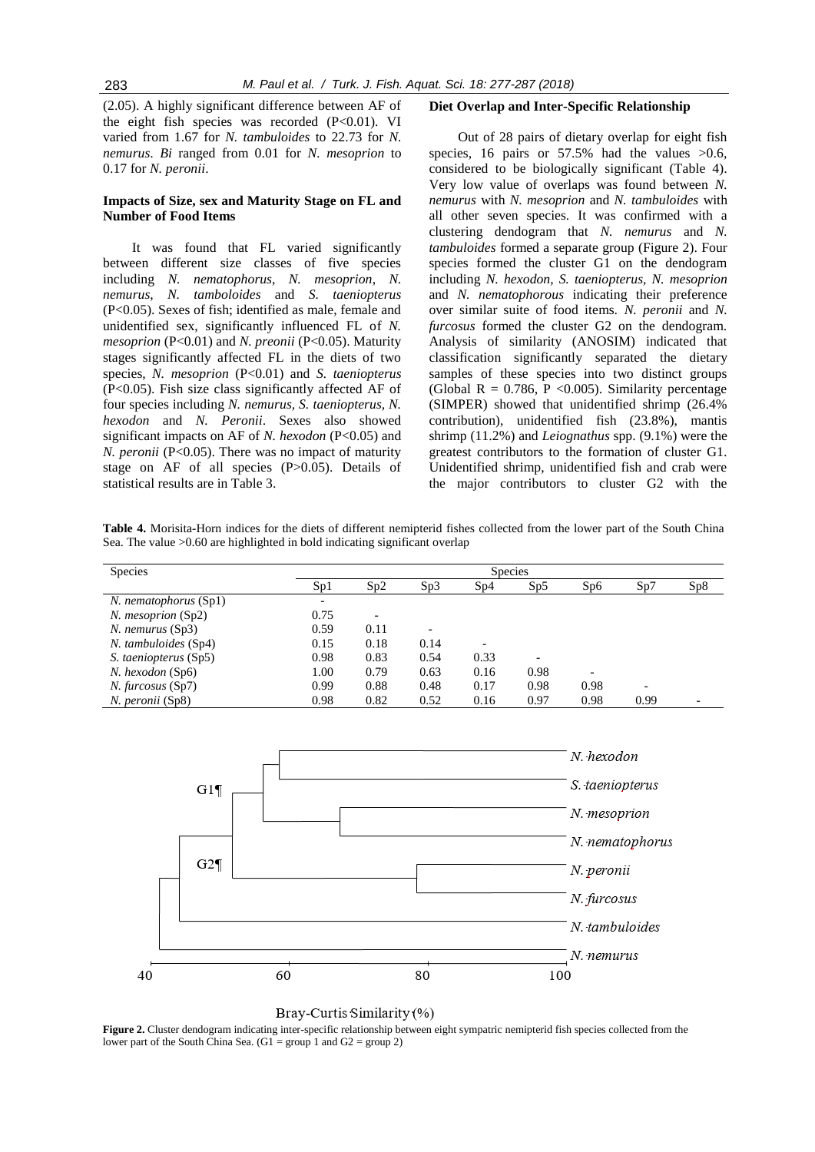(2.05). A highly significant difference between AF of the eight fish species was recorded (P<0.01). VI varied from 1.67 for *N. tambuloides* to 22.73 for *N. nemurus*. *Bi* ranged from 0.01 for *N. mesoprion* to 0.17 for *N. peronii*.

# **Impacts of Size, sex and Maturity Stage on FL and Number of Food Items**

It was found that FL varied significantly between different size classes of five species including *N. nematophorus*, *N. mesoprion*, *N. nemurus*, *N. tamboloides* and *S. taeniopterus* (P<0.05). Sexes of fish; identified as male, female and unidentified sex, significantly influenced FL of *N. mesoprion* (P<0.01) and *N. preonii* (P<0.05). Maturity stages significantly affected FL in the diets of two species, *N. mesoprion* (P<0.01) and *S. taeniopterus* (P<0.05). Fish size class significantly affected AF of four species including *N. nemurus, S. taeniopterus, N. hexodon* and *N. Peronii*. Sexes also showed significant impacts on AF of *N. hexodon* (P<0.05) and *N. peronii* (P<0.05). There was no impact of maturity stage on AF of all species (P>0.05). Details of statistical results are in Table 3.

## **Diet Overlap and Inter-Specific Relationship**

Out of 28 pairs of dietary overlap for eight fish species, 16 pairs or  $57.5\%$  had the values  $>0.6$ , considered to be biologically significant (Table 4). Very low value of overlaps was found between *N. nemurus* with *N. mesoprion* and *N. tambuloides* with all other seven species. It was confirmed with a clustering dendogram that *N. nemurus* and *N. tambuloides* formed a separate group (Figure 2). Four species formed the cluster G1 on the dendogram including *N. hexodon, S. taeniopterus, N. mesoprion* and *N. nematophorous* indicating their preference over similar suite of food items. *N. peronii* and *N. furcosus* formed the cluster G2 on the dendogram. Analysis of similarity (ANOSIM) indicated that classification significantly separated the dietary samples of these species into two distinct groups (Global R = 0.786, P < 0.005). Similarity percentage (SIMPER) showed that unidentified shrimp (26.4% contribution), unidentified fish (23.8%), mantis shrimp (11.2%) and *Leiognathus* spp. (9.1%) were the greatest contributors to the formation of cluster G1. Unidentified shrimp, unidentified fish and crab were the major contributors to cluster G2 with the

**Table 4.** Morisita-Horn indices for the diets of different nemipterid fishes collected from the lower part of the South China Sea. The value >0.60 are highlighted in bold indicating significant overlap

| <b>Species</b>           | <b>Species</b>           |      |      |      |                          |      |      |     |  |  |  |  |  |
|--------------------------|--------------------------|------|------|------|--------------------------|------|------|-----|--|--|--|--|--|
|                          | Sp1                      | Sp2  | Sp3  | Sp4  | Sp5                      | Sp6  | Sp7  | Sp8 |  |  |  |  |  |
| N. nematophorus (Sp1)    | $\overline{\phantom{a}}$ |      |      |      |                          |      |      |     |  |  |  |  |  |
| $N.$ mesoprion $(Sp2)$   | 0.75                     |      |      |      |                          |      |      |     |  |  |  |  |  |
| N. nemurus (Sp3)         | 0.59                     | 0.11 |      |      |                          |      |      |     |  |  |  |  |  |
| N. tambuloides (Sp4)     | 0.15                     | 0.18 | 0.14 |      |                          |      |      |     |  |  |  |  |  |
| S. taeniopterus (Sp5)    | 0.98                     | 0.83 | 0.54 | 0.33 | $\overline{\phantom{0}}$ |      |      |     |  |  |  |  |  |
| N. hexodon (Sp6)         | 1.00                     | 0.79 | 0.63 | 0.16 | 0.98                     |      |      |     |  |  |  |  |  |
| <i>N. furcosus</i> (Sp7) | 0.99                     | 0.88 | 0.48 | 0.17 | 0.98                     | 0.98 |      |     |  |  |  |  |  |
| N. peronii (Sp8)         | 0.98                     | 0.82 | 0.52 | 0.16 | 0.97                     | 0.98 | 0.99 |     |  |  |  |  |  |





**Figure 2.** Cluster dendogram indicating inter-specific relationship between eight sympatric nemipterid fish species collected from the lower part of the South China Sea.  $(G1 = \text{group } 1 \text{ and } G2 = \text{group } 2)$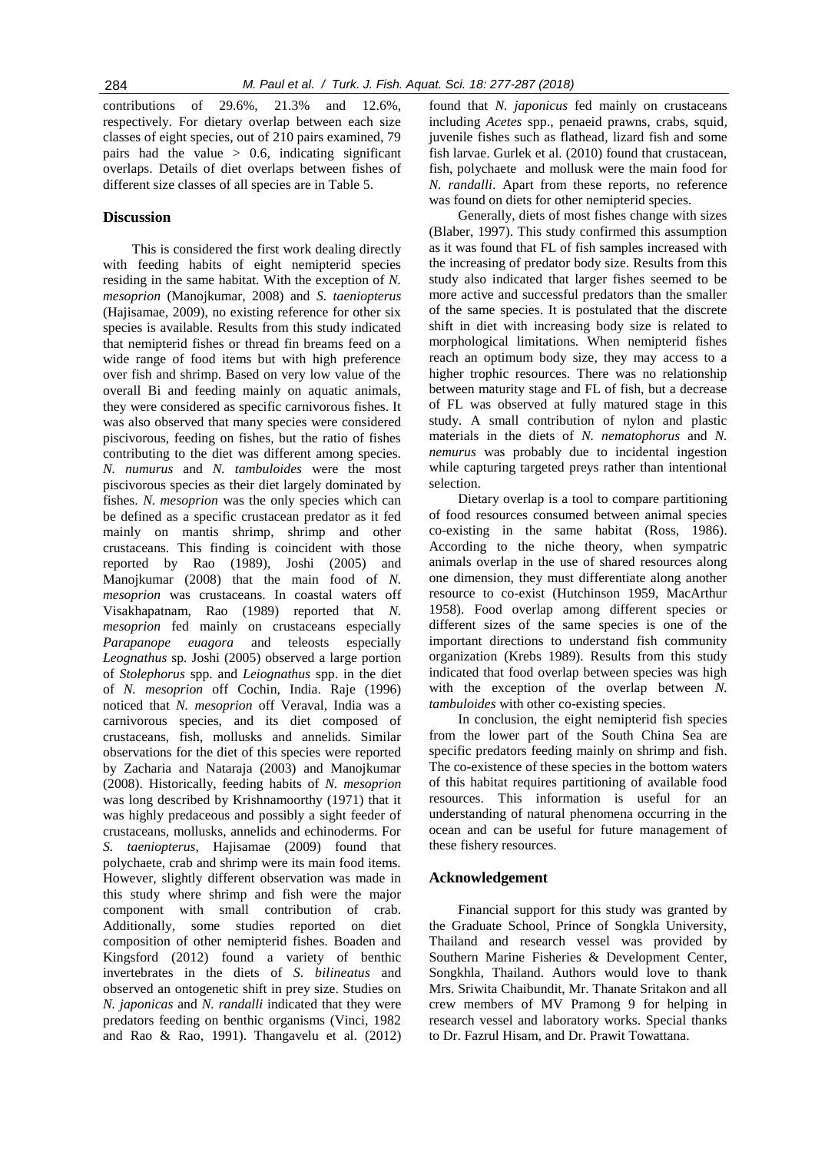contributions of 29.6%, 21.3% and 12.6%, respectively. For dietary overlap between each size classes of eight species, out of 210 pairs examined, 79 pairs had the value  $> 0.6$ , indicating significant overlaps. Details of diet overlaps between fishes of different size classes of all species are in Table 5.

# **Discussion**

This is considered the first work dealing directly with feeding habits of eight nemipterid species residing in the same habitat. With the exception of *N. mesoprion* (Manojkumar, 2008) and *S. taeniopterus* (Hajisamae, 2009), no existing reference for other six species is available. Results from this study indicated that nemipterid fishes or thread fin breams feed on a wide range of food items but with high preference over fish and shrimp. Based on very low value of the overall Bi and feeding mainly on aquatic animals, they were considered as specific carnivorous fishes. It was also observed that many species were considered piscivorous, feeding on fishes, but the ratio of fishes contributing to the diet was different among species. *N. numurus* and *N. tambuloides* were the most piscivorous species as their diet largely dominated by fishes. *N. mesoprion* was the only species which can be defined as a specific crustacean predator as it fed mainly on mantis shrimp, shrimp and other crustaceans. This finding is coincident with those reported by Rao (1989), Joshi (2005) and Manojkumar (2008) that the main food of *N. mesoprion* was crustaceans. In coastal waters off Visakhapatnam, Rao (1989) reported that *N. mesoprion* fed mainly on crustaceans especially *Parapanope euagora* and teleosts especially *Leognathus* sp*.* Joshi (2005) observed a large portion of *Stolephorus* spp. and *Leiognathus* spp. in the diet of *N. mesoprion* off Cochin, India. Raje (1996) noticed that *N. mesoprion* off Veraval, India was a carnivorous species, and its diet composed of crustaceans, fish, mollusks and annelids. Similar observations for the diet of this species were reported by Zacharia and Nataraja (2003) and Manojkumar (2008). Historically, feeding habits of *N. mesoprion*  was long described by Krishnamoorthy (1971) that it was highly predaceous and possibly a sight feeder of crustaceans, mollusks, annelids and echinoderms. For *S. taeniopterus,* Hajisamae (2009) found that polychaete, crab and shrimp were its main food items. However, slightly different observation was made in this study where shrimp and fish were the major component with small contribution of crab. Additionally, some studies reported on diet composition of other nemipterid fishes. Boaden and Kingsford (2012) found a variety of benthic invertebrates in the diets of *S. bilineatus* and observed an ontogenetic shift in prey size. Studies on *N. japonicas* and *N. randalli* indicated that they were predators feeding on benthic organisms (Vinci, 1982 and Rao & Rao, 1991). Thangavelu et al. (2012)

found that *N. japonicus* fed mainly on crustaceans including *Acetes* spp., penaeid prawns, crabs, squid*,*  juvenile fishes such as flathead*,* lizard fish and some fish larvae. Gurlek et al. (2010) found that crustacean, fish, polychaete and mollusk were the main food for *N. randalli*. Apart from these reports, no reference was found on diets for other nemipterid species.

Generally, diets of most fishes change with sizes (Blaber, 1997). This study confirmed this assumption as it was found that FL of fish samples increased with the increasing of predator body size. Results from this study also indicated that larger fishes seemed to be more active and successful predators than the smaller of the same species. It is postulated that the discrete shift in diet with increasing body size is related to morphological limitations. When nemipterid fishes reach an optimum body size, they may access to a higher trophic resources. There was no relationship between maturity stage and FL of fish, but a decrease of FL was observed at fully matured stage in this study. A small contribution of nylon and plastic materials in the diets of *N. nematophorus* and *N. nemurus* was probably due to incidental ingestion while capturing targeted preys rather than intentional selection.

Dietary overlap is a tool to compare partitioning of food resources consumed between animal species co-existing in the same habitat (Ross, 1986). According to the niche theory, when sympatric animals overlap in the use of shared resources along one dimension, they must differentiate along another resource to co-exist (Hutchinson 1959, MacArthur 1958). Food overlap among different species or different sizes of the same species is one of the important directions to understand fish community organization (Krebs 1989). Results from this study indicated that food overlap between species was high with the exception of the overlap between *N. tambuloides* with other co-existing species.

In conclusion, the eight nemipterid fish species from the lower part of the South China Sea are specific predators feeding mainly on shrimp and fish. The co-existence of these species in the bottom waters of this habitat requires partitioning of available food resources. This information is useful for an understanding of natural phenomena occurring in the ocean and can be useful for future management of these fishery resources.

## **Acknowledgement**

Financial support for this study was granted by the Graduate School, Prince of Songkla University, Thailand and research vessel was provided by Southern Marine Fisheries & Development Center, Songkhla, Thailand. Authors would love to thank Mrs. Sriwita Chaibundit, Mr. Thanate Sritakon and all crew members of MV Pramong 9 for helping in research vessel and laboratory works. Special thanks to Dr. Fazrul Hisam, and Dr. Prawit Towattana.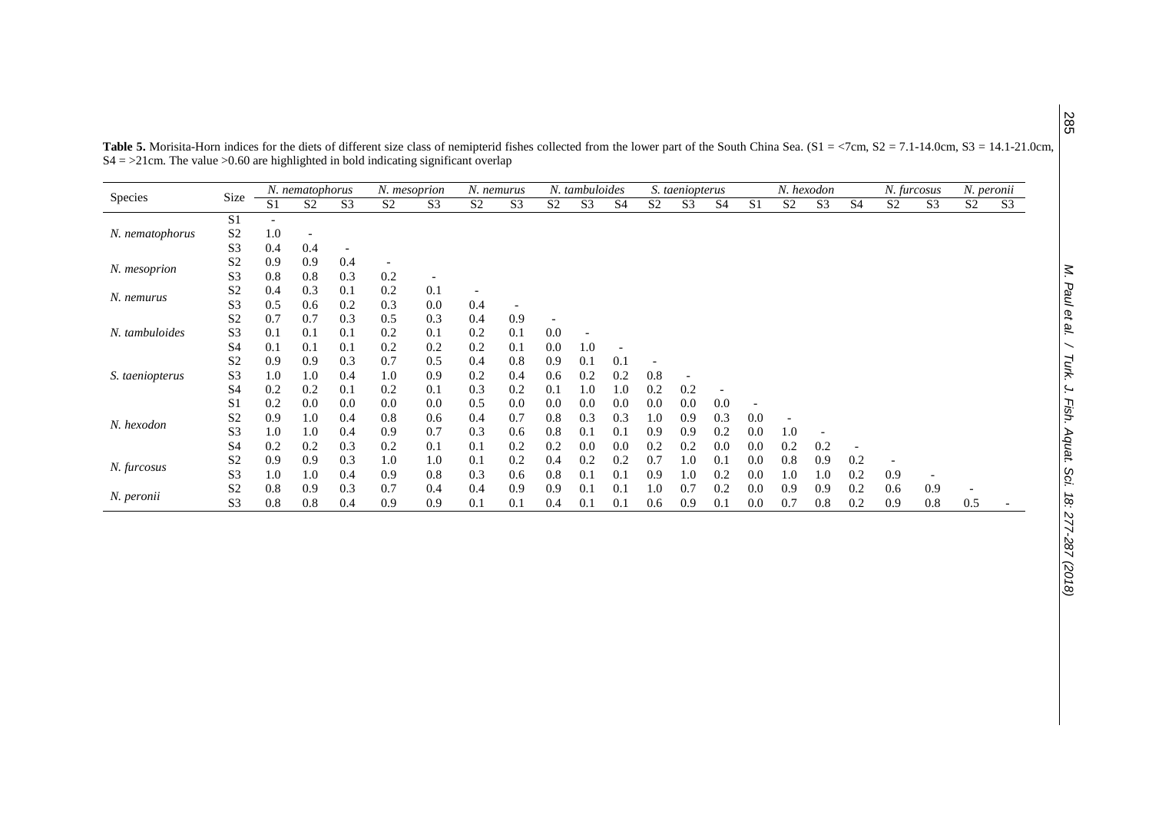|                 |                |     | N. nematophorus |                          | N. mesoprion   |                          |                          | N. nemurus     |                | N. tambuloides |                |                | S. taeniopterus          |                |                |                | N. hexodon     |                | N. furcosus    |                | N. peronii     |                |  |
|-----------------|----------------|-----|-----------------|--------------------------|----------------|--------------------------|--------------------------|----------------|----------------|----------------|----------------|----------------|--------------------------|----------------|----------------|----------------|----------------|----------------|----------------|----------------|----------------|----------------|--|
| <b>Species</b>  | Size           | S1  | S <sub>2</sub>  | S <sub>3</sub>           | S <sub>2</sub> | S <sub>3</sub>           | S <sub>2</sub>           | S <sub>3</sub> | S <sub>2</sub> | S <sub>3</sub> | S <sub>4</sub> | S <sub>2</sub> | S <sub>3</sub>           | S <sub>4</sub> | S <sub>1</sub> | S <sub>2</sub> | S <sub>3</sub> | S <sub>4</sub> | S <sub>2</sub> | S <sub>3</sub> | S <sub>2</sub> | S <sub>3</sub> |  |
|                 | S1             |     |                 |                          |                |                          |                          |                |                |                |                |                |                          |                |                |                |                |                |                |                |                |                |  |
| N. nematophorus | S <sub>2</sub> | 1.0 |                 |                          |                |                          |                          |                |                |                |                |                |                          |                |                |                |                |                |                |                |                |                |  |
|                 | S <sub>3</sub> | 0.4 | 0.4             | $\overline{\phantom{a}}$ |                |                          |                          |                |                |                |                |                |                          |                |                |                |                |                |                |                |                |                |  |
| N. mesoprion    | S <sub>2</sub> | 0.9 | 0.9             | 0.4                      |                |                          |                          |                |                |                |                |                |                          |                |                |                |                |                |                |                |                |                |  |
|                 | S <sub>3</sub> | 0.8 | 0.8             | 0.3                      | 0.2            | $\overline{\phantom{a}}$ |                          |                |                |                |                |                |                          |                |                |                |                |                |                |                |                |                |  |
| N. nemurus      | S <sub>2</sub> | 0.4 | 0.3             | 0.1                      | 0.2            | 0.1                      | $\overline{\phantom{a}}$ |                |                |                |                |                |                          |                |                |                |                |                |                |                |                |                |  |
|                 | S <sub>3</sub> | 0.5 | 0.6             | 0.2                      | 0.3            | 0.0                      | 0.4                      |                |                |                |                |                |                          |                |                |                |                |                |                |                |                |                |  |
| N. tambuloides  | S <sub>2</sub> | 0.7 | 0.7             | 0.3                      | 0.5            | 0.3                      | 0.4                      | 0.9            |                |                |                |                |                          |                |                |                |                |                |                |                |                |                |  |
|                 | S <sub>3</sub> | 0.1 | 0.1             | 0.1                      | 0.2            | 0.1                      | 0.2                      | 0.1            | 0.0            |                |                |                |                          |                |                |                |                |                |                |                |                |                |  |
|                 | S <sub>4</sub> | 0.1 | 0.1             | 0.1                      | 0.2            | 0.2                      | 0.2                      | 0.1            | 0.0            | 1.0            |                |                |                          |                |                |                |                |                |                |                |                |                |  |
|                 | S <sub>2</sub> | 0.9 | 0.9             | 0.3                      | 0.7            | 0.5                      | 0.4                      | 0.8            | 0.9            | 0.1            | 0.1            |                |                          |                |                |                |                |                |                |                |                |                |  |
| S. taeniopterus | S <sub>3</sub> | 1.0 | 1.0             | 0.4                      | 1.0            | 0.9                      | 0.2                      | 0.4            | 0.6            | 0.2            | 0.2            | 0.8            | $\overline{\phantom{a}}$ |                |                |                |                |                |                |                |                |                |  |
|                 | S <sub>4</sub> | 0.2 | 0.2             | 0.1                      | 0.2            | 0.1                      | 0.3                      | 0.2            | 0.1            | 1.0            | 1.0            | 0.2            | 0.2                      |                |                |                |                |                |                |                |                |                |  |
|                 | S1             | 0.2 | 0.0             | 0.0                      | 0.0            | 0.0                      | 0.5                      | 0.0            | 0.0            | 0.0            | 0.0            | 0.0            | 0.0                      | 0.0            |                |                |                |                |                |                |                |                |  |
| N. hexodon      | S <sub>2</sub> | 0.9 | 1.0             | 0.4                      | 0.8            | 0.6                      | 0.4                      | 0.7            | 0.8            | 0.3            | 0.3            | 1.0            | 0.9                      | 0.3            | 0.0            |                |                |                |                |                |                |                |  |
|                 | S <sub>3</sub> | 1.0 | 1.0             | 0.4                      | 0.9            | 0.7                      | 0.3                      | 0.6            | 0.8            | 0.1            | 0.1            | 0.9            | 0.9                      | 0.2            | 0.0            | 1.0            | ٠              |                |                |                |                |                |  |
|                 | S <sub>4</sub> | 0.2 | 0.2             | 0.3                      | 0.2            | 0.1                      | 0.1                      | 0.2            | 0.2            | 0.0            | 0.0            | 0.2            | 0.2                      | 0.0            | 0.0            | 0.2            | 0.2            |                |                |                |                |                |  |
| N. furcosus     | S <sub>2</sub> | 0.9 | 0.9             | 0.3                      | 1.0            | 1.0                      | 0.1                      | 0.2            | 0.4            | 0.2            | 0.2            | 0.7            | 1.0                      | 0.1            | 0.0            | 0.8            | 0.9            | 0.2            | ٠              |                |                |                |  |
|                 | S <sub>3</sub> | 1.0 | 1.0             | 0.4                      | 0.9            | 0.8                      | 0.3                      | 0.6            | 0.8            | 0.1            | 0.1            | 0.9            | 1.0                      | 0.2            | 0.0            | 1.0            | 1.0            | 0.2            | 0.9            |                |                |                |  |
| N. peronii      | S <sub>2</sub> | 0.8 | 0.9             | 0.3                      | 0.7            | 0.4                      | 0.4                      | 0.9            | 0.9            | 0.1            | 0.1            | 1.0            | 0.7                      | 0.2            | 0.0            | 0.9            | 0.9            | 0.2            | 0.6            | 0.9            |                |                |  |
|                 | S <sub>3</sub> | 0.8 | 0.8             | 0.4                      | 0.9            | 0.9                      | 0.1                      | 0.1            | 0.4            | 0.1            | 0.1            | 0.6            | 0.9                      | 0.1            | 0.0            | 0.7            | 0.8            | 0.2            | 0.9            | 0.8            | 0.5            |                |  |

Table 5. Morisita-Horn indices for the diets of different size class of nemipterid fishes collected from the lower part of the South China Sea. (S1 = <7cm, S2 = 7.1-14.0cm, S3 = 14.1-21.0cm,  $S4 = 221$ cm. The value  $> 0.60$  are highlighted in bold indicating significant overlap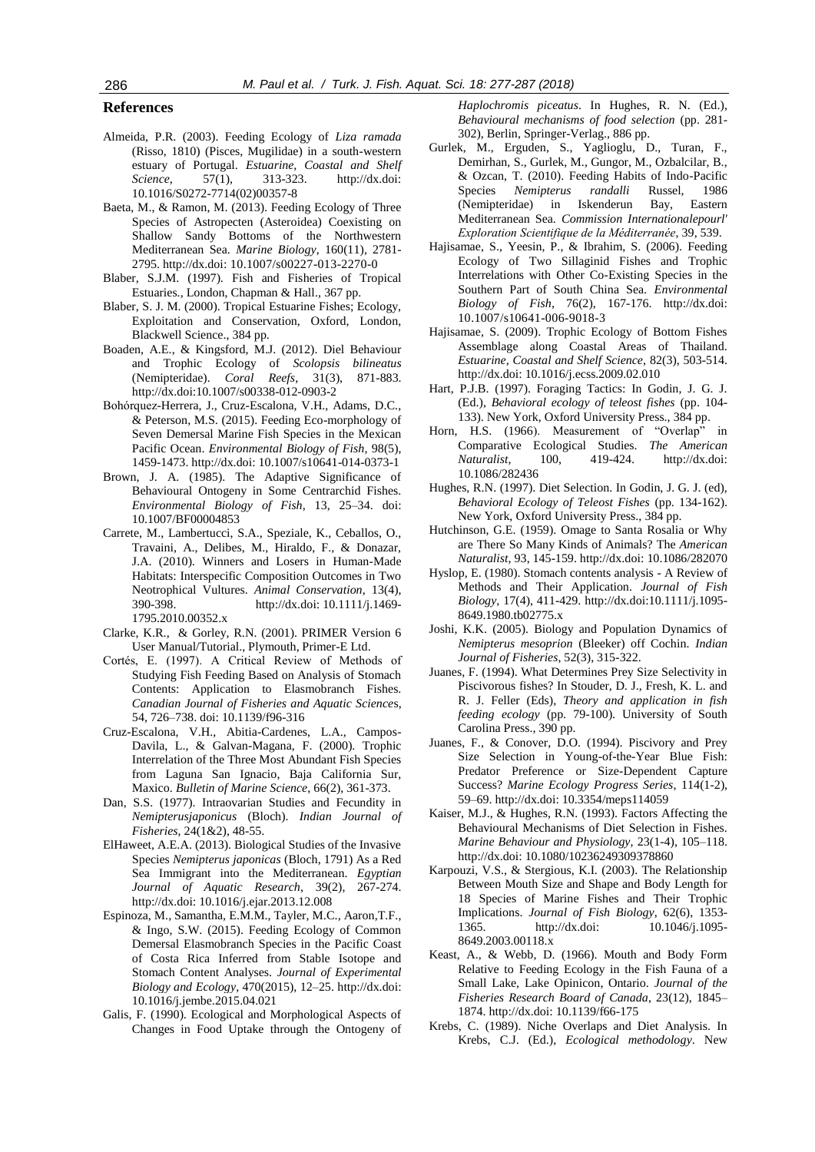#### **References**

- Almeida, P.R. (2003). Feeding Ecology of *Liza ramada* (Risso, 1810) (Pisces, Mugilidae) in a south-western estuary of Portugal. *Estuarine, Coastal and Shelf Science*, 57(1), 313-323. http://dx.doi: 10.1016/S0272-7714(02)00357-8
- Baeta, M., & Ramon, M. (2013). Feeding Ecology of Three Species of Astropecten (Asteroidea) Coexisting on Shallow Sandy Bottoms of the Northwestern Mediterranean Sea. *Marine Biology*, 160(11), 2781- 2795. http://dx.doi: 10.1007/s00227-013-2270-0
- Blaber, S.J.M. (1997). Fish and Fisheries of Tropical Estuaries., London, Chapman & Hall., 367 pp.
- Blaber, S. J. M. (2000). Tropical Estuarine Fishes; Ecology, Exploitation and Conservation, Oxford, London, Blackwell Science., 384 pp.
- Boaden, A.E., & Kingsford, M.J. (2012). Diel Behaviour and Trophic Ecology of *Scolopsis bilineatus* (Nemipteridae). *Coral Reefs*, 31(3), 871-883. http://dx.doi:10.1007/s00338-012-0903-2
- Bohórquez-Herrera, J., Cruz-Escalona, V.H., Adams, D.C., & Peterson, M.S. (2015). Feeding Eco-morphology of Seven Demersal Marine Fish Species in the Mexican Pacific Ocean. *Environmental Biology of Fish*, 98(5), 1459-1473. http://dx.doi: 10.1007/s10641-014-0373-1
- Brown, J. A. (1985). The Adaptive Significance of Behavioural Ontogeny in Some Centrarchid Fishes. *Environmental Biology of Fish*, 13, 25–34. doi: [10.1007/BF00004853](http://dx.doi.org/10.1007/BF00004853)
- Carrete, M., Lambertucci, S.A., Speziale, K., Ceballos, O., Travaini, A., Delibes, M., Hiraldo, F., & Donazar, J.A. (2010). Winners and Losers in Human-Made Habitats: Interspecific Composition Outcomes in Two Neotrophical Vultures. *Animal Conservation*, 13(4), 390-398. http://dx.doi: 10.1111/j.1469- 1795.2010.00352.x
- Clarke, K.R., & Gorley, R.N. (2001). PRIMER Version 6 User Manual/Tutorial., Plymouth, Primer-E Ltd.
- Cortés, E. (1997). A Critical Review of Methods of Studying Fish Feeding Based on Analysis of Stomach Contents: Application to Elasmobranch Fishes. *Canadian Journal of Fisheries and Aquatic Science*s, 54, 726–738. doi[: 10.1139/f96-316](http://dx.doi.org/10.1139/f96-316)
- Cruz-Escalona, V.H., Abitia-Cardenes, L.A., Campos-Davila, L., & Galvan-Magana, F. (2000). Trophic Interrelation of the Three Most Abundant Fish Species from Laguna San Ignacio, Baja California Sur, Maxico. *Bulletin of Marine Science*, 66(2), 361-373.
- Dan, S.S. (1977). Intraovarian Studies and Fecundity in *Nemipterusjaponicus* (Bloch). *Indian Journal of Fisheries*, 24(1&2), 48-55.
- ElHaweet, A.E.A. (2013). Biological Studies of the Invasive Species *Nemipterus japonicas* (Bloch, 1791) As a Red Sea Immigrant into the Mediterranean. *Egyptian Journal of Aquatic Research*, 39(2), 267-274. http://dx.doi: [10.1016/j.ejar.2013.12.008](http://dx.doi.org/10.1016/j.ejar.2013.12.008)
- Espinoza, M., Samantha, E.M.M., Tayler, M.C., Aaron,T.F., & Ingo, S.W. (2015). Feeding Ecology of Common Demersal Elasmobranch Species in the Pacific Coast of Costa Rica Inferred from Stable Isotope and Stomach Content Analyses. *Journal of Experimental Biology and Ecology*, 470(2015), 12–25. http://dx.doi: 10.1016/j.jembe.2015.04.021
- Galis, F. (1990). Ecological and Morphological Aspects of Changes in Food Uptake through the Ontogeny of

*Haplochromis piceatus*. In Hughes, R. N. (Ed.), *Behavioural mechanisms of food selection* (pp. 281- 302), Berlin, Springer-Verlag., 886 pp.

- Gurlek, M., Erguden, S., Yaglioglu, D., Turan, F., Demirhan, S., Gurlek, M., Gungor, M., Ozbalcilar, B., & Ozcan, T. (2010). Feeding Habits of Indo-Pacific Species *Nemipterus randalli* Russel, 1986 (Nemipteridae) in Iskenderun Bay, Eastern Mediterranean Sea. *Commission Internationalepourl' Exploration Scientifique de la Méditerranée*, 39, 539.
- Hajisamae, S., Yeesin, P., & Ibrahim, S. (2006). Feeding Ecology of Two Sillaginid Fishes and Trophic Interrelations with Other Co-Existing Species in the Southern Part of South China Sea. *Environmental Biology of Fish*, 76(2), 167-176. http://dx.doi: 10.1007/s10641-006-9018-3
- Hajisamae, S. (2009). Trophic Ecology of Bottom Fishes Assemblage along Coastal Areas of Thailand. *Estuarine, Coastal and Shelf Science*, 82(3), 503-514. http://dx.doi: 10.1016/j.ecss.2009.02.010
- Hart, P.J.B. (1997). Foraging Tactics: In Godin, J. G. J. (Ed.), *Behavioral ecology of teleost fishes* (pp. 104- 133). New York, Oxford University Press., 384 pp.
- Horn, H.S. (1966). Measurement of "Overlap" in Comparative Ecological Studies. *The American Naturalist*, 100, 419-424. http://dx.doi: 10.1086/282436
- Hughes, R.N. (1997). Diet Selection. In Godin, J. G. J. (ed), *Behavioral Ecology of Teleost Fishes* (pp. 134-162). New York, Oxford University Press., 384 pp.
- Hutchinson, G.E. (1959). Omage to Santa Rosalia or Why are There So Many Kinds of Animals? The *American Naturalist*, 93, 145-159. http://dx.doi: 10.1086/282070
- Hyslop, E. (1980). Stomach contents analysis A Review of Methods and Their Application. *Journal of Fish Biology*, 17(4), 411-429. http://dx.doi:10.1111/j.1095- 8649.1980.tb02775.x
- Joshi, K.K. (2005). Biology and Population Dynamics of *Nemipterus mesoprion* (Bleeker) off Cochin. *Indian Journal of Fisheries*, 52(3), 315-322.
- Juanes, F. (1994). What Determines Prey Size Selectivity in Piscivorous fishes? In Stouder, D. J., Fresh, K. L. and R. J. Feller (Eds), *Theory and application in fish feeding ecology* (pp. 79-100). University of South Carolina Press., 390 pp.
- Juanes, F., & Conover, D.O. (1994). Piscivory and Prey Size Selection in Young-of-the-Year Blue Fish: Predator Preference or Size-Dependent Capture Success? *Marine Ecology Progress Series*, 114(1-2), 59–69. http://dx.doi: 10.3354/meps114059
- Kaiser, M.J., & Hughes, R.N. (1993). Factors Affecting the Behavioural Mechanisms of Diet Selection in Fishes. *Marine Behaviour and Physiology*, 23(1-4), 105–118. http://dx.doi: 10.1080/10236249309378860
- Karpouzi, V.S., & Stergious, K.I. (2003). The Relationship Between Mouth Size and Shape and Body Length for 18 Species of Marine Fishes and Their Trophic Implications. *Journal of Fish Biology*, 62(6), 1353- 1365. http://dx.doi: 10.1046/j.1095- 8649.2003.00118.x
- Keast, A., & Webb, D. (1966). Mouth and Body Form Relative to Feeding Ecology in the Fish Fauna of a Small Lake, Lake Opinicon, Ontario. *Journal of the Fisheries Research Board of Canada*, 23(12), 1845– 1874. http://dx.doi: 10.1139/f66-175
- Krebs, C. (1989). Niche Overlaps and Diet Analysis. In Krebs, C.J. (Ed.), *Ecological methodology*. New